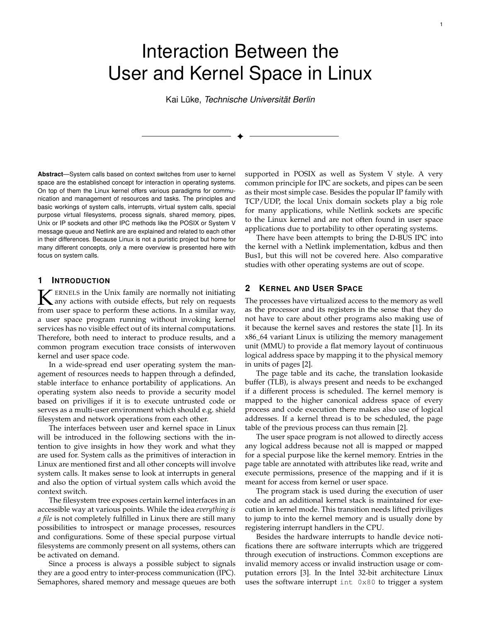1

# Interaction Between the User and Kernel Space in Linux

Kai Lüke, *Technische Universität Berlin*

✦

**Abstract**—System calls based on context switches from user to kernel space are the established concept for interaction in operating systems. On top of them the Linux kernel offers various paradigms for communication and management of resources and tasks. The principles and basic workings of system calls, interrupts, virtual system calls, special purpose virtual filesystems, process signals, shared memory, pipes, Unix or IP sockets and other IPC methods like the POSIX or System V message queue and Netlink are are explained and related to each other in their differences. Because Linux is not a puristic project but home for many different concepts, only a mere overview is presented here with focus on system calls.

## **1 INTRODUCTION**

K ERNELS in the Unix family are normally not initiating<br>any actions with outside effects, but rely on requests<br>from user space to perform these actions. In a similar way ERNELS in the Unix family are normally not initiating from user space to perform these actions. In a similar way, a user space program running without invoking kernel services has no visible effect out of its internal computations. Therefore, both need to interact to produce results, and a common program execution trace consists of interwoven kernel and user space code.

In a wide-spread end user operating system the management of resources needs to happen through a definded, stable interface to enhance portability of applications. An operating system also needs to provide a security model based on priviliges if it is to execute untrusted code or serves as a multi-user environment which should e.g. shield filesystem and network operations from each other.

The interfaces between user and kernel space in Linux will be introduced in the following sections with the intention to give insights in how they work and what they are used for. System calls as the primitives of interaction in Linux are mentioned first and all other concepts will involve system calls. It makes sense to look at interrupts in general and also the option of virtual system calls which avoid the context switch.

The filesystem tree exposes certain kernel interfaces in an accessible way at various points. While the idea *everything is a file* is not completely fulfilled in Linux there are still many possibilities to introspect or manage processes, resources and configurations. Some of these special purpose virtual filesystems are commonly present on all systems, others can be activated on demand.

Since a process is always a possible subject to signals they are a good entry to inter-process communication (IPC). Semaphores, shared memory and message queues are both supported in POSIX as well as System V style. A very common principle for IPC are sockets, and pipes can be seen as their most simple case. Besides the popular IP family with TCP/UDP, the local Unix domain sockets play a big role for many applications, while Netlink sockets are specific to the Linux kernel and are not often found in user space applications due to portability to other operating systems.

There have been attempts to bring the D-BUS IPC into the kernel with a Netlink implementation, kdbus and then Bus1, but this will not be covered here. Also comparative studies with other operating systems are out of scope.

## **2 KERNEL AND USER SPACE**

The processes have virtualized access to the memory as well as the processor and its registers in the sense that they do not have to care about other programs also making use of it because the kernel saves and restores the state [1]. In its x86\_64 variant Linux is utilizing the memory management unit (MMU) to provide a flat memory layout of continuous logical address space by mapping it to the physical memory in units of pages [2].

The page table and its cache, the translation lookaside buffer (TLB), is always present and needs to be exchanged if a different process is scheduled. The kernel memory is mapped to the higher canonical address space of every process and code execution there makes also use of logical addresses. If a kernel thread is to be scheduled, the page table of the previous process can thus remain [2].

The user space program is not allowed to directly access any logical address because not all is mapped or mapped for a special purpose like the kernel memory. Entries in the page table are annotated with attributes like read, write and execute permissions, presence of the mapping and if it is meant for access from kernel or user space.

The program stack is used during the execution of user code and an additional kernel stack is maintained for execution in kernel mode. This transition needs lifted priviliges to jump to into the kernel memory and is usually done by registering interrupt handlers in the CPU.

Besides the hardware interrupts to handle device notifications there are software interrupts which are triggered through execution of instructions. Common exceptions are invalid memory access or invalid instruction usage or computation errors [3]. In the Intel 32-bit architecture Linux uses the software interrupt int 0x80 to trigger a system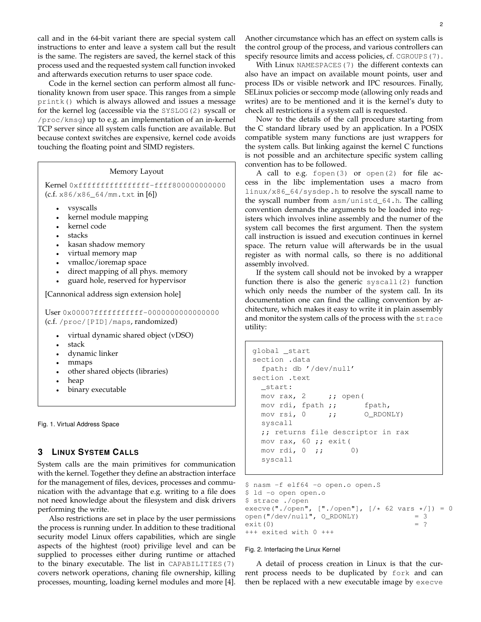call and in the 64-bit variant there are special system call instructions to enter and leave a system call but the result is the same. The registers are saved, the kernel stack of this process used and the requested system call function invoked and afterwards execution returns to user space code.

Code in the kernel section can perform almost all functionality known from user space. This ranges from a simple printk() which is always allowed and issues a message for the kernel log (accessible via the SYSLOG(2) syscall or /proc/kmsg) up to e.g. an implementation of an in-kernel TCP server since all system calls function are available. But because context switches are expensive, kernel code avoids touching the floating point and SIMD registers.

#### Memory Layout

Kernel 0xffffffffffffffff-ffff800000000000 (c.f. x86/x86\_64/mm.txt in [6])

- vsyscalls
- kernel module mapping
- kernel code
- stacks
- kasan shadow memory
- virtual memory map
- vmalloc/ioremap space
- direct mapping of all phys. memory
- guard hole, reserved for hypervisor

[Cannonical address sign extension hole]

User 0x00007fffffffffff-0000000000000000 (c.f. /proc/[PID]/maps, randomized)

- virtual dynamic shared object (vDSO)
- stack
- dynamic linker
- mmaps
- other shared objects (libraries)
- heap
- binary executable

Fig. 1. Virtual Address Space

## **3 LINUX SYSTEM CALLS**

System calls are the main primitives for communication with the kernel. Together they define an abstraction interface for the management of files, devices, processes and communication with the advantage that e.g. writing to a file does not need knowledge about the filesystem and disk drivers performing the write.

Also restrictions are set in place by the user permissions the process is running under. In addition to these traditional security model Linux offers capabilities, which are single aspects of the hightest (root) privilige level and can be supplied to processes either during runtime or attached to the binary executable. The list in CAPABILITIES(7) covers network operations, chaning file ownership, killing processes, mounting, loading kernel modules and more [4]. Another circumstance which has an effect on system calls is the control group of the process, and various controllers can specify resource limits and access policies, cf. CGROUPS(7).

With Linux NAMESPACES (7) the different contexts can also have an impact on available mount points, user and process IDs or visible network and IPC resources. Finally, SELinux policies or seccomp mode (allowing only reads and writes) are to be mentioned and it is the kernel's duty to check all restrictions if a system call is requested.

Now to the details of the call procedure starting from the C standard library used by an application. In a POSIX compatible system many functions are just wrappers for the system calls. But linking against the kernel C functions is not possible and an architecture specific system calling convention has to be followed.

A call to e.g. fopen(3) or open(2) for file access in the libc implementation uses a macro from linux/x86\_64/sysdep.h to resolve the syscall name to the syscall number from asm/unistd\_64.h. The calling convention demands the arguments to be loaded into registers which involves inline assembly and the numer of the system call becomes the first argument. Then the system call instruction is issued and execution continues in kernel space. The return value will afterwards be in the usual register as with normal calls, so there is no additional assembly involved.

If the system call should not be invoked by a wrapper function there is also the generic syscall(2) function which only needs the number of the system call. In its documentation one can find the calling convention by architecture, which makes it easy to write it in plain assembly and monitor the system calls of the process with the strace utility:

```
global _start
section .data
 fpath: db '/dev/null'
section .text
 _start:
 mov rax, 2 ;; open (
 mov rdi, fpath ;; fpath,
 mov rsi, 0 ;; O_RDONLY)
 syscall
 ;; returns file descriptor in rax
 mov rax, 60 ;; exit(
 mov rdi, 0 ;; 0)
 syscall
```

```
$ nasm -f elf64 -o open.o open.S
$ ld -o open open.o
$ strace ./open
execve("./open", ["./open"], [/* 62 \text{ vars } */]) = 0<br>open("/dev/null", 0 RDONLY) = 3
open("/dev/null", O_RDONLY) = 3
ext(0) = ?+++ exited with 0 +++
```
#### Fig. 2. Interfacing the Linux Kernel

A detail of process creation in Linux is that the current process needs to be duplicated by fork and can then be replaced with a new executable image by execve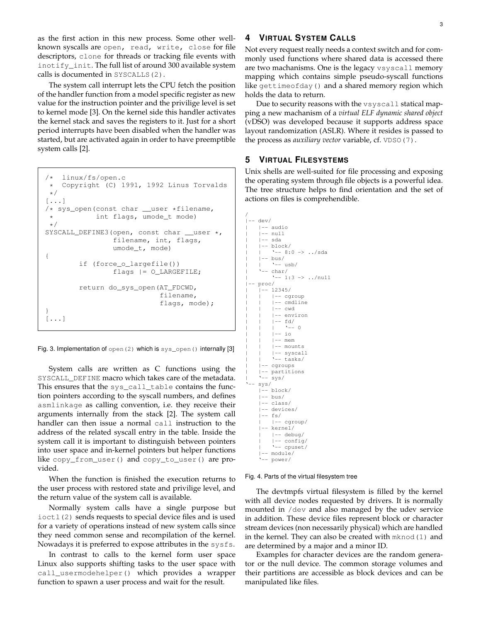as the first action in this new process. Some other wellknown syscalls are open, read, write, close for file descriptors, clone for threads or tracking file events with inotify\_init. The full list of around 300 available system calls is documented in SYSCALLS(2).

The system call interrupt lets the CPU fetch the position of the handler function from a model specific register as new value for the instruction pointer and the privilige level is set to kernel mode [3]. On the kernel side this handler activates the kernel stack and saves the registers to it. Just for a short period interrupts have been disabled when the handler was started, but are activated again in order to have preemptible system calls [2].

```
/* linux/fs/open.c
* Copyright (C) 1991, 1992 Linus Torvalds
*/
[...]
/* sys_open(const char __user *filename,
* int flags, umode_t mode)
*/
SYSCALL_DEFINE3(open, const char __user *,
                filename, int, flags,
                umode_t, mode)
{
        if (force_o_largefile())
                flags |= O_LARGEFILE;
        return do_sys_open(AT_FDCWD,
                           filename,
                           flags, mode);
}
[...]
```
Fig. 3. Implementation of open (2) which is sys\_open() internally [3]

System calls are written as C functions using the SYSCALL\_DEFINE macro which takes care of the metadata. This ensures that the sys\_call\_table contains the function pointers according to the syscall numbers, and defines asmlinkage as calling convention, i.e. they receive their arguments internally from the stack [2]. The system call handler can then issue a normal call instruction to the address of the related syscall entry in the table. Inside the system call it is important to distinguish between pointers into user space and in-kernel pointers but helper functions like copy\_from\_user() and copy\_to\_user() are provided.

When the function is finished the execution returns to the user process with restored state and privilige level, and the return value of the system call is available.

Normally system calls have a single purpose but ioctl(2) sends requests to special device files and is used for a variety of operations instead of new system calls since they need common sense and recompilation of the kernel. Nowadays it is preferred to expose attributes in the sysfs.

In contrast to calls to the kernel form user space Linux also supports shifting tasks to the user space with call\_usermodehelper() which provides a wrapper function to spawn a user process and wait for the result.

# **4 VIRTUAL SYSTEM CALLS**

Not every request really needs a context switch and for commonly used functions where shared data is accessed there are two machanisms. One is the legacy vsyscall memory mapping which contains simple pseudo-syscall functions like gettimeofday() and a shared memory region which holds the data to return.

Due to security reasons with the vsyscall statical mapping a new machanism of a *virtual ELF dynamic shared object* (vDSO) was developed because it supports address space layout randomization (ASLR). Where it resides is passed to the process as *auxiliary vector* variable, cf. VDSO(7).

## **5 VIRTUAL FILESYSTEMS**

Unix shells are well-suited for file processing and exposing the operating system through file objects is a powerful idea. The tree structure helps to find orientation and the set of actions on files is comprehendible.

```
/
|-- dev/
    | |-- audio
    | -- null| |-- sda
    | |-- block/
         ' -- 8:0 -> . . /sda| -- bus/
         ' -- usb/' -- char/| '-- 1:3 -> ../null
|-- proc/
      - 12345/| | |-- cgroup
         | | |-- cmdline
         | -- \quad cwd| | |-- environ
        | -- f d/| | | '-- 0
        | -- io
         | -- mem
         | -- mounts
    | | |-- syscall
         ' -- tasks/| |-- cgroups
    | |-- partitions
     | '-- sys/
    svs/|-- block/
    |-- bus/
    |-- class/
    |-- devices/
    |-- fs/
        | |-- cgroup/
    |-- kernel/
         | |-- debug/
         | |-- config/
         | '-- cpuset/
     |-- module/
     '-- power/
```
Fig. 4. Parts of the virtual filesystem tree

The devtmpfs virtual filesystem is filled by the kernel with all device nodes requested by drivers. It is normally mounted in /dev and also managed by the udev service in addition. These device files represent block or character stream devices (non necessarily physical) which are handled in the kernel. They can also be created with mknod(1) and are determined by a major and a minor ID.

Examples for character devices are the random generator or the null device. The common storage volumes and their partitions are accessible as block devices and can be manipulated like files.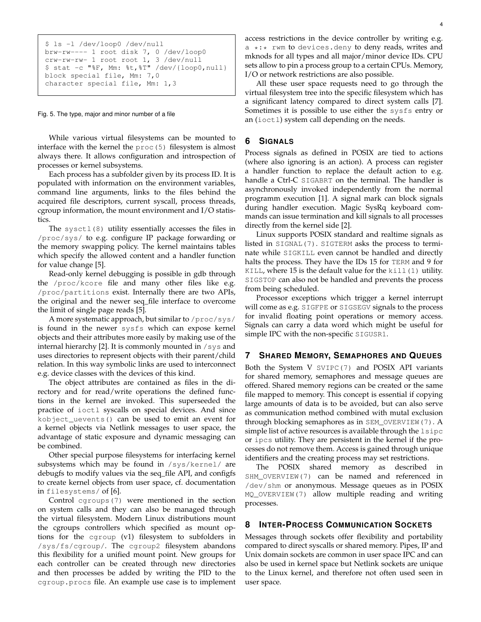```
$ ls -l /dev/loop0 /dev/null
brw-rw---- 1 root disk 7, 0 /dev/loop0
crw-rw-rw- 1 root root 1, 3 /dev/null
$ stat -c "%F, Mm: %t,%T" /dev/{loop0,null}
block special file, Mm: 7,0
character special file, Mm: 1,3
```
Fig. 5. The type, major and minor number of a file

While various virtual filesystems can be mounted to interface with the kernel the proc(5) filesystem is almost always there. It allows configuration and introspection of processes or kernel subsystems.

Each process has a subfolder given by its process ID. It is populated with information on the environment variables, command line arguments, links to the files behind the acquired file descriptors, current syscall, process threads, cgroup information, the mount environment and I/O statistics.

The sysctl(8) utility essentially accesses the files in /proc/sys/ to e.g. configure IP package forwarding or the memory swapping policy. The kernel maintains tables which specify the allowed content and a handler function for value change [5].

Read-only kernel debugging is possible in gdb through the /proc/kcore file and many other files like e.g. /proc/partitions exist. Internally there are two APIs, the original and the newer seq\_file interface to overcome the limit of single page reads [5].

A more systematic approach, but similar to /proc/sys/ is found in the newer sysfs which can expose kernel objects and their attributes more easily by making use of the internal hierarchy [2]. It is commonly mounted in /sys and uses directories to represent objects with their parent/child relation. In this way symbolic links are used to interconnect e.g. device classes with the devices of this kind.

The object attributes are contained as files in the directory and for read/write operations the defined functions in the kernel are invoked. This superseeded the practice of ioctl syscalls on special devices. And since kobject\_uevents() can be used to emit an event for a kernel objects via Netlink messages to user space, the advantage of static exposure and dynamic messaging can be combined.

Other special purpose filesystems for interfacing kernel subsystems which may be found in /sys/kernel/ are debugfs to modify values via the seq\_file API, and configfs to create kernel objects from user space, cf. documentation in filesystems/ of [6].

Control cgroups(7) were mentioned in the section on system calls and they can also be managed through the virtual filesystem. Modern Linux distributions mount the cgroups controllers which specified as mount options for the cgroup (v1) filesystem to subfolders in /sys/fs/cgroup/. The cgroup2 filesystem abandons this flexibility for a unified mount point. New groups for each controller can be created through new directories and then processes be added by writing the PID to the cgroup.procs file. An example use case is to implement

access restrictions in the device controller by writing e.g.  $a \leftrightarrow \cdot \cdot$  rwm to devices.deny to deny reads, writes and mknods for all types and all major/minor device IDs. CPU sets allow to pin a process group to a certain CPUs. Memory, I/O or network restrictions are also possible.

All these user space requests need to go through the virtual filesystem tree into the specific filesystem which has a significant latency compared to direct system calls [7]. Sometimes it is possible to use either the sysfs entry or an (ioctl) system call depending on the needs.

## **6 SIGNALS**

Process signals as defined in POSIX are tied to actions (where also ignoring is an action). A process can register a handler function to replace the default action to e.g. handle a Ctrl-C SIGABRT on the terminal. The handler is asynchronously invoked independently from the normal programm execution [1]. A signal mark can block signals during handler execution. Magic SysRq keyboard commands can issue termination and kill signals to all processes directly from the kernel side [2].

Linux supports POSIX standard and realtime signals as listed in SIGNAL(7). SIGTERM asks the process to terminate while SIGKILL even cannot be handled and directly halts the process. They have the IDs 15 for TERM and 9 for KILL, where  $15$  is the default value for the kill $(1)$  utility. SIGSTOP can also not be handled and prevents the process from being scheduled.

Processor exceptions which trigger a kernel interrupt will come as e.g. SIGFPE or SIGSEGV signals to the process for invalid floating point operations or memory access. Signals can carry a data word which might be useful for simple IPC with the non-specific SIGUSR1.

#### **7 SHARED MEMORY, SEMAPHORES AND QUEUES**

Both the System V SVIPC(7) and POSIX API variants for shared memory, semaphores and message queues are offered. Shared memory regions can be created or the same file mapped to memory. This concept is essential if copying large amounts of data is to be avoided, but can also serve as communication method combined with mutal exclusion through blocking semaphores as in SEM\_OVERVIEW(7). A simple list of active resources is available through the lsipc or ipcs utility. They are persistent in the kernel if the processes do not remove them. Access is gained through unique identifiers and the creating process may set restrictions.

The POSIX shared memory as described in SHM\_OVERVIEW(7) can be named and referenced in /dev/shm or anonymous. Message queues as in POSIX MQ\_OVERVIEW(7) allow multiple reading and writing processes.

#### **8 INTER-PROCESS COMMUNICATION SOCKETS**

Messages through sockets offer flexibility and portability compared to direct syscalls or shared memory. Pipes, IP and Unix domain sockets are common in user space IPC and can also be used in kernel space but Netlink sockets are unique to the Linux kernel, and therefore not often used seen in user space.